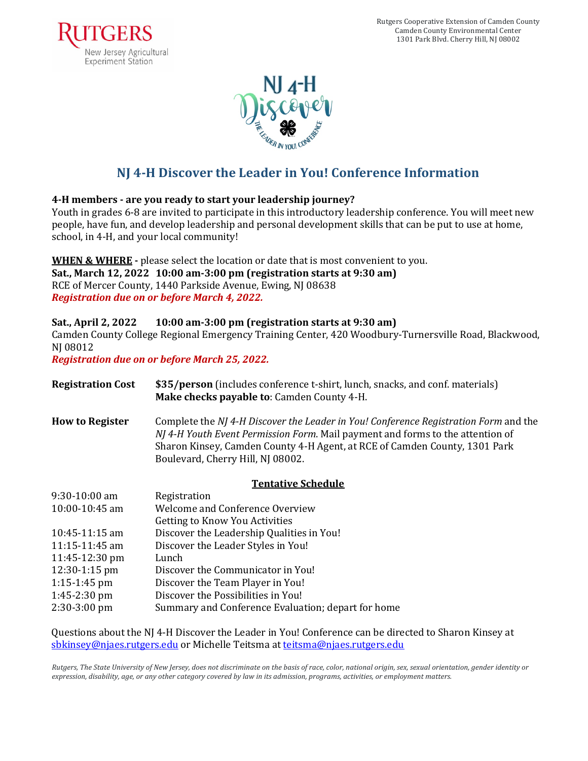



## **NJ 4-H Discover the Leader in You! Conference Information**

### **4-H members - are you ready to start your leadership journey?**

Youth in grades 6-8 are invited to participate in this introductory leadership conference. You will meet new people, have fun, and develop leadership and personal development skills that can be put to use at home, school, in 4-H, and your local community!

### **WHEN & WHERE** - please select the location or date that is most convenient to you.

 **Sat., March 12, 2022 10:00 am-3:00 pm (registration starts at 9:30 am)**  *Registration due on or before March 4, 2022.* RCE of Mercer County, 1440 Parkside Avenue, Ewing, NJ 08638

### **Sat., April 2, 2022 10:00 am-3:00 pm (registration starts at 9:30 am)**

Camden County College Regional Emergency Training Center, 420 Woodbury-Turnersville Road, Blackwood, NJ 08012

 *Registration due on or before March 25, 2022.*

| <b>Registration Cost</b>  | \$35/person (includes conference t-shirt, lunch, snacks, and conf. materials)<br>Make checks payable to: Camden County 4-H.                                                                                                                                                               |  |  |  |
|---------------------------|-------------------------------------------------------------------------------------------------------------------------------------------------------------------------------------------------------------------------------------------------------------------------------------------|--|--|--|
| <b>How to Register</b>    | Complete the NJ 4-H Discover the Leader in You! Conference Registration Form and the<br>NJ 4-H Youth Event Permission Form. Mail payment and forms to the attention of<br>Sharon Kinsey, Camden County 4-H Agent, at RCE of Camden County, 1301 Park<br>Boulevard, Cherry Hill, NJ 08002. |  |  |  |
| <b>Tentative Schedule</b> |                                                                                                                                                                                                                                                                                           |  |  |  |
| $9:30-10:00$ am           | Registration                                                                                                                                                                                                                                                                              |  |  |  |
| $10:00-10:45$ am          | Welcome and Conference Overview                                                                                                                                                                                                                                                           |  |  |  |
|                           | <b>Getting to Know You Activities</b>                                                                                                                                                                                                                                                     |  |  |  |
| $10:45-11:15$ am          | Discover the Leadership Qualities in You!                                                                                                                                                                                                                                                 |  |  |  |
| $11:15-11:45$ am          | Discover the Leader Styles in You!                                                                                                                                                                                                                                                        |  |  |  |
| 11:45-12:30 pm            | Lunch                                                                                                                                                                                                                                                                                     |  |  |  |
| 12:30-1:15 pm             | Discover the Communicator in You!                                                                                                                                                                                                                                                         |  |  |  |
| $1:15-1:45$ pm            | Discover the Team Player in You!                                                                                                                                                                                                                                                          |  |  |  |
| $1:45-2:30$ pm            | Discover the Possibilities in You!                                                                                                                                                                                                                                                        |  |  |  |
| 2:30-3:00 pm              | Summary and Conference Evaluation; depart for home                                                                                                                                                                                                                                        |  |  |  |

Questions about the NJ 4-H Discover the Leader in You! Conference can be directed to Sharon Kinsey at <u>[sbkinsey@njaes.rutgers.edu](mailto:sbkinsey@njaes.rutgers.edu)</u> or Michelle Teitsma at <u>[teitsma@njaes.rutgers.edu](mailto:teitsma@njaes.rutgers.edu)</u>

Rutgers, The State University of New Jersey, does not discriminate on the basis of race, color, national origin, sex, sexual orientation, gender identity or expression, disability, age, or any other category covered by law in its admission, programs, activities, or employment matters.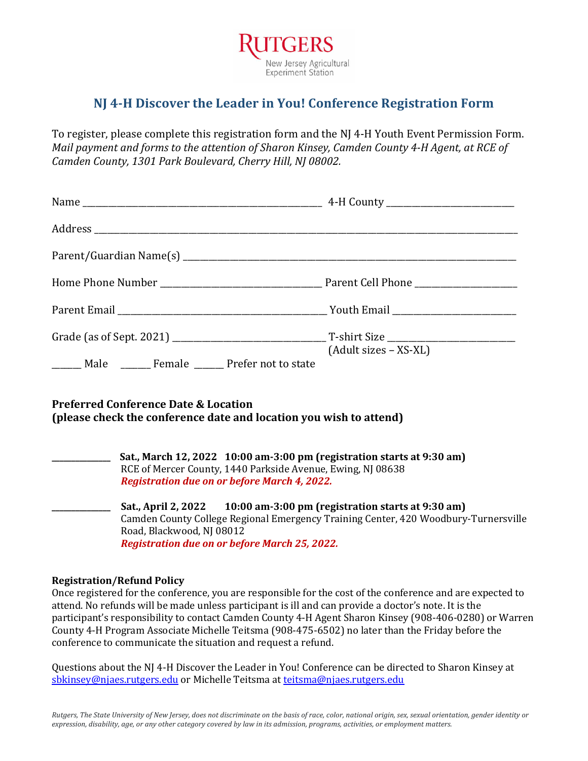

## **NJ 4-H Discover the Leader in You! Conference Registration Form**

To register, please complete this registration form and the NJ 4-H Youth Event Permission Form. *Mail payment and forms to the attention of Sharon Kinsey, Camden County 4-H Agent, at RCE of* Camden County, 1301 Park Boulevard, Cherry Hill, NJ 08002.

| _______ Male ________ Female _______ Prefer not to state                                                              | $(Adult sizes - XS-XL)$                                                                                                                                    |
|-----------------------------------------------------------------------------------------------------------------------|------------------------------------------------------------------------------------------------------------------------------------------------------------|
| <b>Preferred Conference Date &amp; Location</b><br>(please check the conference date and location you wish to attend) |                                                                                                                                                            |
| Registration due on or before March 4, 2022.                                                                          | Sat., March 12, 2022 10:00 am-3:00 pm (registration starts at 9:30 am)<br>RCE of Mercer County, 1440 Parkside Avenue, Ewing, NJ 08638                      |
|                                                                                                                       | Sat., April 2, 2022 10:00 am-3:00 pm (registration starts at 9:30 am)<br>Camden County College Regional Emergency Training Center, 420 Woodbury-Turnersvil |

 Road, Blackwood, NJ 08012  *Registration due on or before March 25, 2022.* Camden County College Regional Emergency Training Center, 420 Woodbury-Turnersville

#### **Registration/Refund Policy**

Once registered for the conference, you are responsible for the cost of the conference and are expected to attend. No refunds will be made unless participant is ill and can provide a doctor's note. It is the participant's responsibility to contact Camden County 4-H Agent Sharon Kinsey (908-406-0280) or Warren County 4-H Program Associate Michelle Teitsma (908-475-6502) no later than the Friday before the conference to communicate the situation and request a refund.

Questions about the NJ 4-H Discover the Leader in You! Conference can be directed to Sharon Kinsey at <u>[sbkinsey@njaes.rutgers.edu](mailto:sbkinsey@njaes.rutgers.edu)</u> or Michelle Teitsma at <u>[teitsma@njaes.rutgers.edu](mailto:teitsma@njaes.rutgers.edu)</u>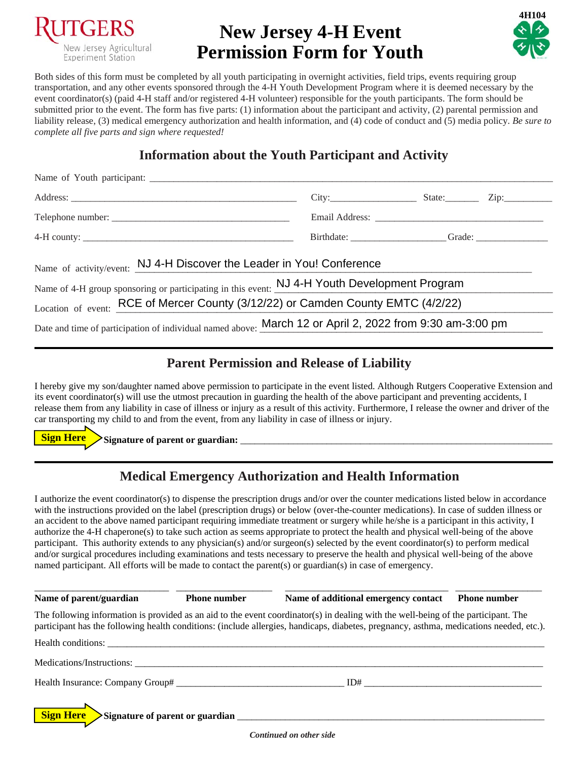

# **New Jersey 4-H Event Permission Form for Youth**



 Both sides of this form must be completed by all youth participating in overnight activities, field trips, events requiring group transportation, and any other events sponsored through the 4-H Youth Development Program where it is deemed necessary by the submitted prior to the event. The form has five parts: (1) information about the participant and activity, (2) parental permission and liability release, (3) medical emergency authorization and health information, and (4) code of conduct and (5) media policy. *Be sure to*  event coordinator(s) (paid 4-H staff and/or registered 4-H volunteer) responsible for the youth participants. The form should be *complete all five parts and sign where requested!* 

## **Information about the Youth Participant and Activity**

|                                                                                                                                                                        | $City:$ State: Zip: |  |
|------------------------------------------------------------------------------------------------------------------------------------------------------------------------|---------------------|--|
|                                                                                                                                                                        |                     |  |
|                                                                                                                                                                        |                     |  |
| Name of activity/event: NJ 4-H Discover the Leader in You! Conference<br>Name of 4-H group sponsoring or participating in this event: NJ 4-H Youth Development Program |                     |  |
| Location of event: RCE of Mercer County (3/12/22) or Camden County EMTC (4/2/22)                                                                                       |                     |  |
| Date and time of participation of individual named above: March 12 or April 2, 2022 from 9:30 am-3:00 pm                                                               |                     |  |

### **Parent Permission and Release of Liability**

 I hereby give my son/daughter named above permission to participate in the event listed. Although Rutgers Cooperative Extension and its event coordinator(s) will use the utmost precaution in guarding the health of the above participant and preventing accidents, I release them from any liability in case of illness or injury as a result of this activity. Furthermore, I release the owner and driver of the car transporting my child to and from the event, from any liability in case of illness or injury.

 ,\_\_\_\_> **Sign Here Signature of parent or guardian:** \_\_\_\_\_\_\_\_\_\_\_\_\_\_\_\_\_\_\_\_\_\_\_\_\_\_\_\_\_\_\_\_\_\_\_\_\_\_\_\_\_\_\_\_\_\_\_\_\_\_\_\_\_\_\_\_\_\_\_\_\_\_\_\_\_

## **Medical Emergency Authorization and Health Information**

 I authorize the event coordinator(s) to dispense the prescription drugs and/or over the counter medications listed below in accordance with the instructions provided on the label (prescription drugs) or below (over-the-counter medications). In case of sudden illness or an accident to the above named participant requiring immediate treatment or surgery while he/she is a participant in this activity, I authorize the 4-H chaperone(s) to take such action as seems appropriate to protect the health and physical well-being of the above participant. This authority extends to any physician(s) and/or surgeon(s) selected by the event coordinator(s) to perform medical and/or surgical procedures including examinations and tests necessary to preserve the health and physical well-being of the above named participant. All efforts will be made to contact the parent(s) or guardian(s) in case of emergency.

Name of parent/guardian The following information is provided as an aid to the event coordinator(s) in dealing with the well-being of the participant. The participant has the following health conditions: (include allergies, handicaps, diabetes, pregnancy, asthma, medications needed, etc.). Health conditions: -> Health Insurance: Company Group# \_\_\_\_\_\_\_\_\_\_\_\_\_\_\_\_\_\_\_\_\_\_\_\_\_\_\_\_\_\_\_\_\_\_\_ ID# \_\_\_\_\_\_\_\_\_\_\_\_\_\_\_\_\_\_\_\_\_\_\_\_\_\_\_\_\_\_\_\_\_\_\_\_\_  **Sign Here Signature of parent or guardian** \_\_\_\_\_\_\_\_\_\_\_\_\_\_\_\_\_\_\_\_\_\_\_\_\_\_\_\_\_\_\_\_\_\_\_\_\_\_\_\_\_\_\_\_\_\_\_\_\_\_\_\_\_\_\_\_\_\_\_\_\_\_\_\_ \_\_\_\_\_\_\_\_\_\_\_\_\_\_\_\_\_\_\_\_\_\_\_\_\_\_\_\_ \_\_\_\_\_\_\_\_\_\_\_\_\_\_\_\_\_\_\_\_ \_\_\_\_\_\_\_\_\_\_\_\_\_\_\_\_\_\_\_\_\_\_\_\_\_\_\_\_\_\_\_\_\_\_ \_\_\_\_\_\_\_\_\_\_\_\_\_\_\_\_\_\_ **Phone number Name of additional emergency contact Phone number**  $\mathcal{H}_{\text{H}}$  and the conditions:  $\mathcal{H}_{\text{H}}$  and  $\mathcal{H}_{\text{H}}$  and  $\mathcal{H}_{\text{H}}$  and  $\mathcal{H}_{\text{H}}$ Medications/Instructions: